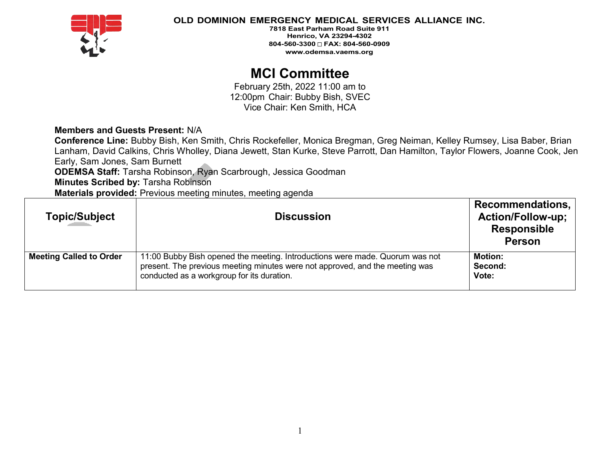

**7818 East Parham Road Suite 911 Henrico, VA 23294-4302 804-560-3300 FAX: 804-560-0909 [www.odemsa.vaems.org](http://www.odemsa.vaems.org/)**

# **MCI Committee**

February 25th, 2022 11:00 am to 12:00pm Chair: Bubby Bish, SVEC Vice Chair: Ken Smith, HCA

## **Members and Guests Present:** N/A

**Conference Line:** Bubby Bish, Ken Smith, Chris Rockefeller, Monica Bregman, Greg Neiman, Kelley Rumsey, Lisa Baber, Brian Lanham, David Calkins, Chris Wholley, Diana Jewett, Stan Kurke, Steve Parrott, Dan Hamilton, Taylor Flowers, Joanne Cook, Jen Early, Sam Jones, Sam Burnett

**ODEMSA Staff:** Tarsha Robinson, Ryan Scarbrough, Jessica Goodman

**Minutes Scribed by:** Tarsha Robinson

**Materials provided:** Previous meeting minutes, meeting agenda

| <b>Topic/Subject</b>           | <b>Discussion</b>                                                                                                                                                                                          | <b>Recommendations,</b><br><b>Action/Follow-up;</b><br><b>Responsible</b><br><b>Person</b> |
|--------------------------------|------------------------------------------------------------------------------------------------------------------------------------------------------------------------------------------------------------|--------------------------------------------------------------------------------------------|
| <b>Meeting Called to Order</b> | 11:00 Bubby Bish opened the meeting. Introductions were made. Quorum was not<br>present. The previous meeting minutes were not approved, and the meeting was<br>conducted as a workgroup for its duration. | <b>Motion:</b><br>Second:<br>Vote:                                                         |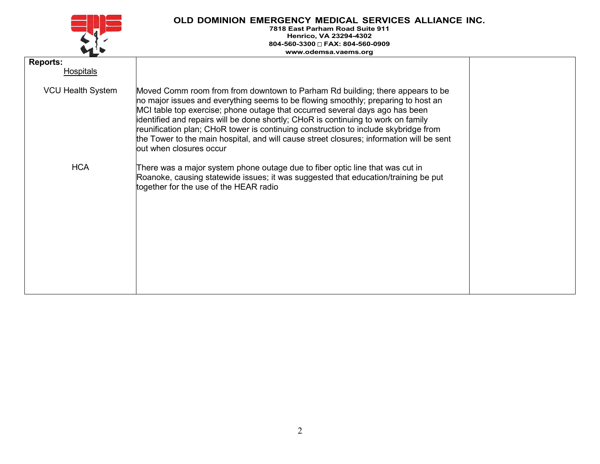

| <b>Reports:</b><br><b>Hospitals</b> |                                                                                                                                                                                                                                                                                                                                                                                                                                                                                                                                                       |  |
|-------------------------------------|-------------------------------------------------------------------------------------------------------------------------------------------------------------------------------------------------------------------------------------------------------------------------------------------------------------------------------------------------------------------------------------------------------------------------------------------------------------------------------------------------------------------------------------------------------|--|
| <b>VCU Health System</b>            | Moved Comm room from from downtown to Parham Rd building; there appears to be<br>no major issues and everything seems to be flowing smoothly; preparing to host an<br>MCI table top exercise; phone outage that occurred several days ago has been<br>identified and repairs will be done shortly; CHoR is continuing to work on family<br>reunification plan; CHoR tower is continuing construction to include skybridge from<br>the Tower to the main hospital, and will cause street closures; information will be sent<br>out when closures occur |  |
| <b>HCA</b>                          | There was a major system phone outage due to fiber optic line that was cut in<br>Roanoke, causing statewide issues; it was suggested that education/training be put<br>together for the use of the HEAR radio                                                                                                                                                                                                                                                                                                                                         |  |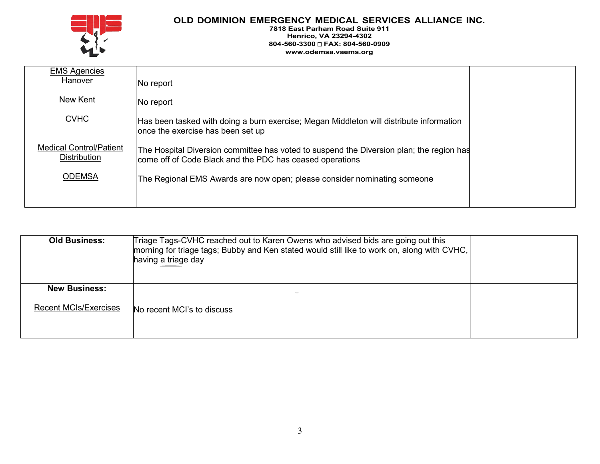

| <b>EMS Agencies</b><br>Hanover                        | No report                                                                                                                                            |  |
|-------------------------------------------------------|------------------------------------------------------------------------------------------------------------------------------------------------------|--|
| New Kent                                              | No report                                                                                                                                            |  |
| <b>CVHC</b>                                           | Has been tasked with doing a burn exercise; Megan Middleton will distribute information<br>once the exercise has been set up                         |  |
| <b>Medical Control/Patient</b><br><b>Distribution</b> | The Hospital Diversion committee has voted to suspend the Diversion plan; the region has<br>come off of Code Black and the PDC has ceased operations |  |
| <b>ODEMSA</b>                                         | The Regional EMS Awards are now open; please consider nominating someone                                                                             |  |
|                                                       |                                                                                                                                                      |  |

| <b>Old Business:</b>                                 | Triage Tags-CVHC reached out to Karen Owens who advised bids are going out this<br> morning for triage tags; Bubby and Ken stated would still like to work on, along with CVHC,<br>having a triage day |  |
|------------------------------------------------------|--------------------------------------------------------------------------------------------------------------------------------------------------------------------------------------------------------|--|
| <b>New Business:</b><br><b>Recent MCIs/Exercises</b> | No recent MCI's to discuss                                                                                                                                                                             |  |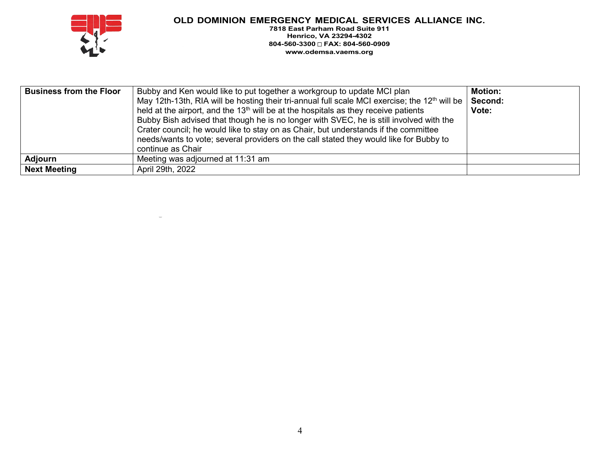

| <b>Business from the Floor</b> | Bubby and Ken would like to put together a workgroup to update MCI plan<br>May 12th-13th, RIA will be hosting their tri-annual full scale MCI exercise; the 12 <sup>th</sup> will be  <br>held at the airport, and the 13 <sup>th</sup> will be at the hospitals as they receive patients<br>Bubby Bish advised that though he is no longer with SVEC, he is still involved with the<br>Crater council; he would like to stay on as Chair, but understands if the committee<br>needs/wants to vote; several providers on the call stated they would like for Bubby to<br>continue as Chair | <b>Motion:</b><br>Second:<br>Vote: |
|--------------------------------|--------------------------------------------------------------------------------------------------------------------------------------------------------------------------------------------------------------------------------------------------------------------------------------------------------------------------------------------------------------------------------------------------------------------------------------------------------------------------------------------------------------------------------------------------------------------------------------------|------------------------------------|
| <b>Adjourn</b>                 | Meeting was adjourned at 11:31 am                                                                                                                                                                                                                                                                                                                                                                                                                                                                                                                                                          |                                    |
| Next Meeting                   | April 29th, 2022                                                                                                                                                                                                                                                                                                                                                                                                                                                                                                                                                                           |                                    |